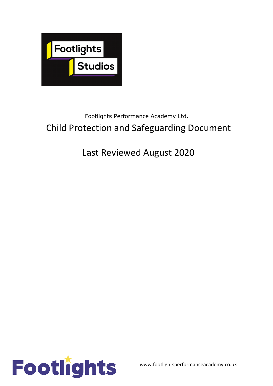

# Footlights Performance Academy Ltd. Child Protection and Safeguarding Document

# Last Reviewed August 2020

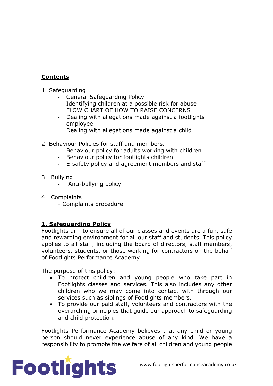#### **Contents**

- 1. Safeguarding
	- General Safeguarding Policy
	- Identifying children at a possible risk for abuse
	- FLOW CHART OF HOW TO RAISE CONCERNS
	- Dealing with allegations made against a footlights employee
	- Dealing with allegations made against a child
- 2. Behaviour Policies for staff and members.
	- Behaviour policy for adults working with children
	- Behaviour policy for footlights children
	- E-safety policy and agreement members and staff
- 3. Bullying
	- Anti-bullying policy
- 4. Complaints
	- Complaints procedure

#### **1. Safeguarding Policy**

Footlights aim to ensure all of our classes and events are a fun, safe and rewarding environment for all our staff and students. This policy applies to all staff, including the board of directors, staff members, volunteers, students, or those working for contractors on the behalf of Footlights Performance Academy.

The purpose of this policy:

- To protect children and young people who take part in Footlights classes and services. This also includes any other children who we may come into contact with through our services such as siblings of Footlights members.
- To provide our paid staff, volunteers and contractors with the overarching principles that guide our approach to safeguarding and child protection.

Footlights Performance Academy believes that any child or young person should never experience abuse of any kind. We have a responsibility to promote the welfare of all children and young people

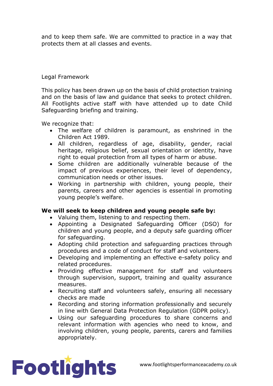and to keep them safe. We are committed to practice in a way that protects them at all classes and events.

#### Legal Framework

This policy has been drawn up on the basis of child protection training and on the basis of law and guidance that seeks to protect children. All Footlights active staff with have attended up to date Child Safeguarding briefing and training.

We recognize that:

- The welfare of children is paramount, as enshrined in the Children Act 1989.
- All children, regardless of age, disability, gender, racial heritage, religious belief, sexual orientation or identity, have right to equal protection from all types of harm or abuse.
- Some children are additionally vulnerable because of the impact of previous experiences, their level of dependency, communication needs or other issues.
- Working in partnership with children, young people, their parents, careers and other agencies is essential in promoting young people's welfare.

#### **We will seek to keep children and young people safe by:**

- Valuing them, listening to and respecting them.
- Appointing a Designated Safeguarding Officer (DSO) for children and young people, and a deputy safe guarding officer for safeguarding.
- Adopting child protection and safeguarding practices through procedures and a code of conduct for staff and volunteers.
- Developing and implementing an effective e-safety policy and related procedures.
- Providing effective management for staff and volunteers through supervision, support, training and quality assurance measures.
- Recruiting staff and volunteers safely, ensuring all necessary checks are made
- Recording and storing information professionally and securely in line with General Data Protection Regulation (GDPR policy).
- Using our safeguarding procedures to share concerns and relevant information with agencies who need to know, and involving children, young people, parents, carers and families appropriately.

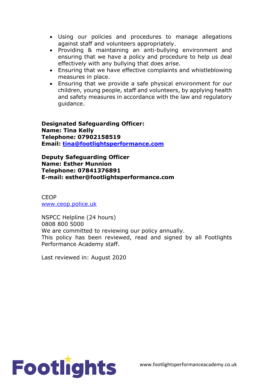- Using our policies and procedures to manage allegations against staff and volunteers appropriately.
- Providing & maintaining an anti-bullying environment and ensuring that we have a policy and procedure to help us deal effectively with any bullying that does arise.
- Ensuring that we have effective complaints and whistleblowing measures in place.
- Ensuring that we provide a safe physical environment for our children, young people, staff and volunteers, by applying health and safety measures in accordance with the law and regulatory guidance.

**Designated Safeguarding Officer: Name: Tina Kelly Telephone: 07902158519 Email: tina@footlightsperformance.com**

**Deputy Safeguarding Officer Name: Esther Munnion Telephone: 07841376891 E-mail: esther@footlightsperformance.com**

CEOP www.ceop.police.uk

NSPCC Helpline (24 hours) 0808 800 5000 We are committed to reviewing our policy annually. This policy has been reviewed, read and signed by all Footlights Performance Academy staff.

Last reviewed in: August 2020

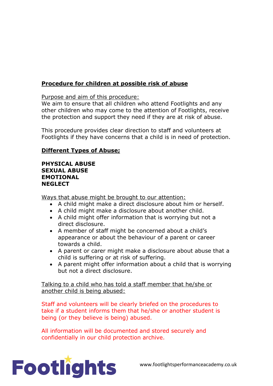## **Procedure for children at possible risk of abuse**

Purpose and aim of this procedure:

We aim to ensure that all children who attend Footlights and any other children who may come to the attention of Footlights, receive the protection and support they need if they are at risk of abuse.

This procedure provides clear direction to staff and volunteers at Footlights if they have concerns that a child is in need of protection.

#### **Different Types of Abuse;**

#### **PHYSICAL ABUSE SEXUAL ABUSE EMOTIONAL NEGLECT**

Ways that abuse might be brought to our attention:

- A child might make a direct disclosure about him or herself.
- A child might make a disclosure about another child.
- A child might offer information that is worrying but not a direct disclosure.
- A member of staff might be concerned about a child's appearance or about the behaviour of a parent or career towards a child.
- A parent or carer might make a disclosure about abuse that a child is suffering or at risk of suffering.
- A parent might offer information about a child that is worrying but not a direct disclosure.

Talking to a child who has told a staff member that he/she or another child is being abused:

Staff and volunteers will be clearly briefed on the procedures to take if a student informs them that he/she or another student is being (or they believe is being) abused.

All information will be documented and stored securely and confidentially in our child protection archive.

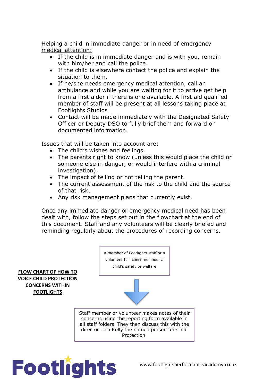Helping a child in immediate danger or in need of emergency medical attention:

- If the child is in immediate danger and is with you, remain with him/her and call the police.
- If the child is elsewhere contact the police and explain the situation to them.
- If he/she needs emergency medical attention, call an ambulance and while you are waiting for it to arrive get help from a first aider if there is one available. A first aid qualified member of staff will be present at all lessons taking place at Footlights Studios
- Contact will be made immediately with the Designated Safety Officer or Deputy DSO to fully brief them and forward on documented information.

Issues that will be taken into account are:

- The child's wishes and feelings.
- The parents right to know (unless this would place the child or someone else in danger, or would interfere with a criminal investigation).
- The impact of telling or not telling the parent.
- The current assessment of the risk to the child and the source of that risk.
- Any risk management plans that currently exist.

Once any immediate danger or emergency medical need has been dealt with, follow the steps set out in the flowchart at the end of this document. Staff and any volunteers will be clearly briefed and reminding regularly about the procedures of recording concerns.



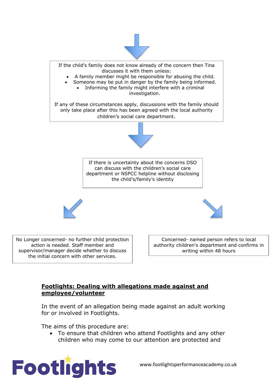



## **Footlights: Dealing with allegations made against and employee/volunteer**

In the event of an allegation being made against an adult working for or involved in Footlights.

The aims of this procedure are:

• To ensure that children who attend Footlights and any other children who may come to our attention are protected and



www.footlightsperformanceacademy.co.uk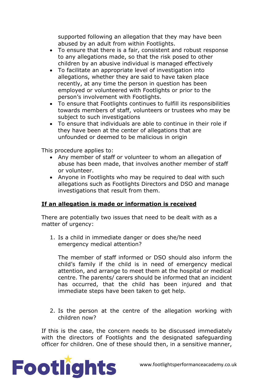supported following an allegation that they may have been abused by an adult from within Footlights.

- To ensure that there is a fair, consistent and robust response to any allegations made, so that the risk posed to other children by an abusive individual is managed effectively
- To facilitate an appropriate level of investigation into allegations, whether they are said to have taken place recently, at any time the person in question has been employed or volunteered with Footlights or prior to the person's involvement with Footlights.
- To ensure that Footlights continues to fulfill its responsibilities towards members of staff, volunteers or trustees who may be subject to such investigations
- To ensure that individuals are able to continue in their role if they have been at the center of allegations that are unfounded or deemed to be malicious in origin

This procedure applies to:

- Any member of staff or volunteer to whom an allegation of abuse has been made, that involves another member of staff or volunteer.
- Anyone in Footlights who may be required to deal with such allegations such as Footlights Directors and DSO and manage investigations that result from them.

#### **If an allegation is made or information is received**

There are potentially two issues that need to be dealt with as a matter of urgency:

1. Is a child in immediate danger or does she/he need emergency medical attention?

The member of staff informed or DSO should also inform the child's family if the child is in need of emergency medical attention, and arrange to meet them at the hospital or medical centre. The parents/ carers should be informed that an incident has occurred, that the child has been injured and that immediate steps have been taken to get help.

2. Is the person at the centre of the allegation working with children now?

If this is the case, the concern needs to be discussed immediately with the directors of Footlights and the designated safeguarding officer for children. One of these should then, in a sensitive manner,

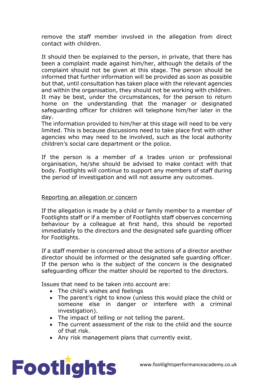remove the staff member involved in the allegation from direct contact with children.

It should then be explained to the person, in private, that there has been a complaint made against him/her, although the details of the complaint should not be given at this stage. The person should be informed that further information will be provided as soon as possible but that, until consultation has taken place with the relevant agencies and within the organisation, they should not be working with children. It may be best, under the circumstances, for the person to return home on the understanding that the manager or designated safeguarding officer for children will telephone him/her later in the day.

The information provided to him/her at this stage will need to be very limited. This is because discussions need to take place first with other agencies who may need to be involved, such as the local authority children's social care department or the police.

If the person is a member of a trades union or professional organisation, he/she should be advised to make contact with that body. Footlights will continue to support any members of staff during the period of investigation and will not assume any outcomes.

#### Reporting an allegation or concern

If the allegation is made by a child or family member to a member of Footlights staff or if a member of Footlights staff observes concerning behaviour by a colleague at first hand, this should be reported immediately to the directors and the designated safe guarding officer for Footlights.

If a staff member is concerned about the actions of a director another director should be informed or the designated safe guarding officer. If the person who is the subject of the concern is the designated safeguarding officer the matter should be reported to the directors.

Issues that need to be taken into account are:

- The child's wishes and feelings
- The parent's right to know (unless this would place the child or someone else in danger or interfere with a criminal investigation).
- The impact of telling or not telling the parent.
- The current assessment of the risk to the child and the source of that risk.
- Any risk management plans that currently exist.

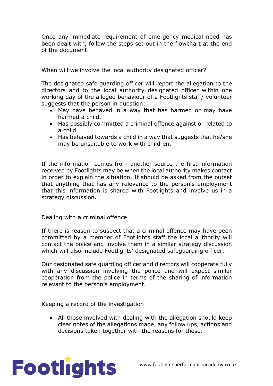Once any immediate requirement of emergency medical need has been dealt with, follow the steps set out in the flowchart at the end of the document.

#### When will we involve the local authority designated officer?

The designated safe guarding officer will report the allegation to the directors and to the local authority designated officer within one working day of the alleged behaviour of a Footlights staff/ volunteer suggests that the person in question:

- May have behaved in a way that has harmed or may have harmed a child.
- Has possibly committed a criminal offence against or related to a child.
- Has behaved towards a child in a way that suggests that he/she may be unsuitable to work with children.

If the information comes from another source the first information received by Footlights may be when the local authority makes contact in order to explain the situation. It should be asked from the outset that anything that has any relevance to the person's employment that this information is shared with Footlights and involve us in a strategy discussion.

#### Dealing with a criminal offence

If there is reason to suspect that a criminal offence may have been committed by a member of Footlights staff the local authority will contact the police and involve them in a similar strategy discussion which will also include Footlights' designated safeguarding officer.

Our designated safe guarding officer and directors will cooperate fully with any discussion involving the police and will expect similar cooperation from the police in terms of the sharing of information relevant to the person's employment.

#### Keeping a record of the investigation

• All those involved with dealing with the allegation should keep clear notes of the allegations made, any follow ups, actions and decisions taken together with the reasons for these.

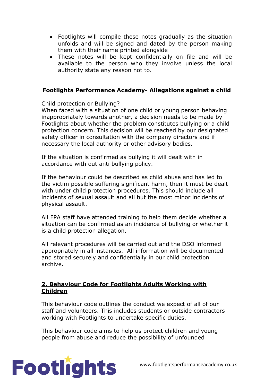- Footlights will compile these notes gradually as the situation unfolds and will be signed and dated by the person making them with their name printed alongside
- These notes will be kept confidentially on file and will be available to the person who they involve unless the local authority state any reason not to.

#### **Footlights Performance Academy- Allegations against a child**

Child protection or Bullying?

When faced with a situation of one child or young person behaving inappropriately towards another, a decision needs to be made by Footlights about whether the problem constitutes bullying or a child protection concern. This decision will be reached by our designated safety officer in consultation with the company directors and if necessary the local authority or other advisory bodies.

If the situation is confirmed as bullying it will dealt with in accordance with out anti bullying policy.

If the behaviour could be described as child abuse and has led to the victim possible suffering significant harm, then it must be dealt with under child protection procedures. This should include all incidents of sexual assault and all but the most minor incidents of physical assault.

All FPA staff have attended training to help them decide whether a situation can be confirmed as an incidence of bullying or whether it is a child protection allegation.

All relevant procedures will be carried out and the DSO informed appropriately in all instances. All information will be documented and stored securely and confidentially in our child protection archive.

#### **2. Behaviour Code for Footlights Adults Working with Children**

This behaviour code outlines the conduct we expect of all of our staff and volunteers. This includes students or outside contractors working with Footlights to undertake specific duties.

This behaviour code aims to help us protect children and young people from abuse and reduce the possibility of unfounded

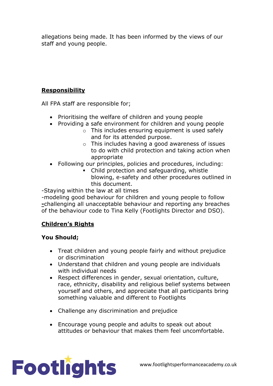allegations being made. It has been informed by the views of our staff and young people.

#### **Responsibility**

All FPA staff are responsible for;

- Prioritising the welfare of children and young people
- Providing a safe environment for children and young people
	- $\circ$  This includes ensuring equipment is used safely and for its attended purpose.
	- o This includes having a good awareness of issues to do with child protection and taking action when appropriate
- Following our principles, policies and procedures, including:
	- Child protection and safeguarding, whistle blowing, e-safety and other procedures outlined in this document.

-Staying within the law at all times

-modeling good behaviour for children and young people to follow **-**challenging all unacceptable behaviour and reporting any breaches of the behaviour code to Tina Kelly (Footlights Director and DSO).

# **Children's Rights**

# **You Should;**

- Treat children and young people fairly and without prejudice or discrimination
- Understand that children and young people are individuals with individual needs
- Respect differences in gender, sexual orientation, culture, race, ethnicity, disability and religious belief systems between yourself and others, and appreciate that all participants bring something valuable and different to Footlights
- Challenge any discrimination and prejudice
- Encourage young people and adults to speak out about attitudes or behaviour that makes them feel uncomfortable.

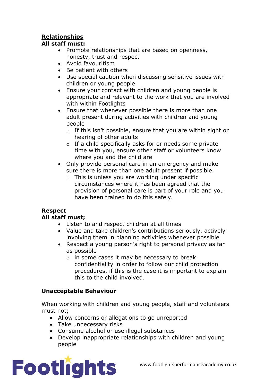# **Relationships**

#### **All staff must:**

- Promote relationships that are based on openness, honesty, trust and respect
- Avoid favouritism
- Be patient with others
- Use special caution when discussing sensitive issues with children or young people
- Ensure your contact with children and young people is appropriate and relevant to the work that you are involved with within Footlights
- Ensure that whenever possible there is more than one adult present during activities with children and young people
	- o If this isn't possible, ensure that you are within sight or hearing of other adults
	- o If a child specifically asks for or needs some private time with you, ensure other staff or volunteers know where you and the child are
- Only provide personal care in an emergency and make sure there is more than one adult present if possible.
	- o This is unless you are working under specific circumstances where it has been agreed that the provision of personal care is part of your role and you have been trained to do this safely.

# **Respect**

# **All staff must;**

- Listen to and respect children at all times
- Value and take children's contributions seriously, actively involving them in planning activities whenever possible
- Respect a young person's right to personal privacy as far as possible
	- o in some cases it may be necessary to break confidentiality in order to follow our child protection procedures, if this is the case it is important to explain this to the child involved.

# **Unacceptable Behaviour**

When working with children and young people, staff and volunteers must not;

- Allow concerns or allegations to go unreported
- Take unnecessary risks
- Consume alcohol or use illegal substances
- Develop inappropriate relationships with children and young people

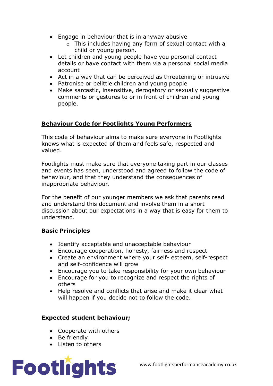- Engage in behaviour that is in anyway abusive
	- o This includes having any form of sexual contact with a child or young person.
- Let children and young people have you personal contact details or have contact with them via a personal social media account
- Act in a way that can be perceived as threatening or intrusive
- Patronise or belittle children and young people
- Make sarcastic, insensitive, derogatory or sexually suggestive comments or gestures to or in front of children and young people.

## **Behaviour Code for Footlights Young Performers**

This code of behaviour aims to make sure everyone in Footlights knows what is expected of them and feels safe, respected and valued.

Footlights must make sure that everyone taking part in our classes and events has seen, understood and agreed to follow the code of behaviour, and that they understand the consequences of inappropriate behaviour.

For the benefit of our younger members we ask that parents read and understand this document and involve them in a short discussion about our expectations in a way that is easy for them to understand.

#### **Basic Principles**

- Identify acceptable and unacceptable behaviour
- Encourage cooperation, honesty, fairness and respect
- Create an environment where your self- esteem, self-respect and self-confidence will grow
- Encourage you to take responsibility for your own behaviour
- Encourage for you to recognize and respect the rights of others
- Help resolve and conflicts that arise and make it clear what will happen if you decide not to follow the code.

#### **Expected student behaviour;**

- Cooperate with others
- Be friendly
- Listen to others

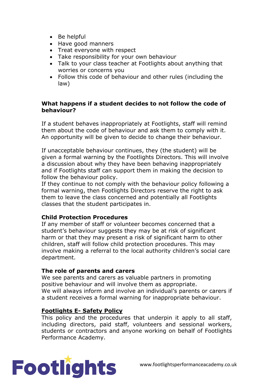- Be helpful
- Have good manners
- Treat everyone with respect
- Take responsibility for your own behaviour
- Talk to your class teacher at Footlights about anything that worries or concerns you
- Follow this code of behaviour and other rules (including the law)

#### **What happens if a student decides to not follow the code of behaviour?**

If a student behaves inappropriately at Footlights, staff will remind them about the code of behaviour and ask them to comply with it. An opportunity will be given to decide to change their behaviour.

If unacceptable behaviour continues, they (the student) will be given a formal warning by the Footlights Directors. This will involve a discussion about why they have been behaving inappropriately and if Footlights staff can support them in making the decision to follow the behaviour policy.

If they continue to not comply with the behaviour policy following a formal warning, then Footlights Directors reserve the right to ask them to leave the class concerned and potentially all Footlights classes that the student participates in.

#### **Child Protection Procedures**

If any member of staff or volunteer becomes concerned that a student's behaviour suggests they may be at risk of significant harm or that they may present a risk of significant harm to other children, staff will follow child protection procedures. This may involve making a referral to the local authority children's social care department.

#### **The role of parents and carers**

We see parents and carers as valuable partners in promoting positive behaviour and will involve them as appropriate. We will always inform and involve an individual's parents or carers if a student receives a formal warning for inappropriate behaviour.

#### **Footlights E- Safety Policy**

This policy and the procedures that underpin it apply to all staff, including directors, paid staff, volunteers and sessional workers, students or contractors and anyone working on behalf of Footlights Performance Academy.

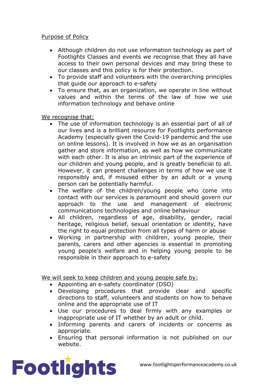#### Purpose of Policy

- Although children do not use information technology as part of Footlights Classes and events we recognise that they all have access to their own personal devices and may bring these to our classes and this policy is for their protection.
- To provide staff and volunteers with the overarching principles that guide our approach to e-safety
- To ensure that, as an organization, we operate in line without values and within the terms of the law of how we use information technology and behave online

We recognise that:

- The use of information technology is an essential part of all of our lives and is a brilliant resource for Footlights performance Academy (especially given the Covid-19 pandemic and the use on online lessons). It is involved in how we as an organisation gather and store information, as well as how we communicate with each other. It is also an intrinsic part of the experience of our children and young people, and is greatly beneficial to all. However, it can present challenges in terms of how we use it responsibly and, if misused either by an adult or a young person can be potentially harmful.
- The welfare of the children/young people who come into contact with our services is paramount and should govern our approach to the use and management of electronic communications technologies and online behaviour
- All children, regardless of age, disability, gender, racial heritage, religious belief, sexual orientation or identity, have the right to equal protection from all types of harm or abuse
- Working in partnership with children, young people, their parents, carers and other agencies is essential in promoting young people's welfare and in helping young people to be responsible in their approach to e-safety

We will seek to keep children and young people safe by:

- Appointing an e-safety coordinator (DSO)
- Developing procedures that provide clear and specific directions to staff, volunteers and students on how to behave online and the appropriate use of IT
- Use our procedures to deal firmly with any examples or inappropriate use of IT whether by an adult or child.
- Informing parents and carers of incidents or concerns as appropriate.
- Ensuring that personal information is not published on our website.

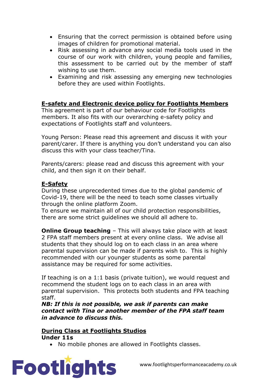- Ensuring that the correct permission is obtained before using images of children for promotional material.
- Risk assessing in advance any social media tools used in the course of our work with children, young people and families, this assessment to be carried out by the member of staff wishing to use them.
- Examining and risk assessing any emerging new technologies before they are used within Footlights.

#### **E-safety and Electronic device policy for Footlights Members**

This agreement is part of our behaviour code for Footlights members. It also fits with our overarching e-safety policy and expectations of Footlights staff and volunteers.

Young Person: Please read this agreement and discuss it with your parent/carer. If there is anything you don't understand you can also discuss this with your class teacher/Tina.

Parents/carers: please read and discuss this agreement with your child, and then sign it on their behalf.

#### **E-Safety**

During these unprecedented times due to the global pandemic of Covid-19, there will be the need to teach some classes virtually through the online platform Zoom.

To ensure we maintain all of our child protection responsibilities, there are some strict guidelines we should all adhere to.

**Online Group teaching** – This will always take place with at least 2 FPA staff members present at every online class. We advise all students that they should log on to each class in an area where parental supervision can be made if parents wish to. This is highly recommended with our younger students as some parental assistance may be required for some activities.

If teaching is on a 1:1 basis (private tuition), we would request and recommend the student logs on to each class in an area with parental supervision. This protects both students and FPA teaching staff.

*NB: If this is not possible, we ask if parents can make contact with Tina or another member of the FPA staff team in advance to discuss this.*

#### **During Class at Footlights Studios Under 11s**

• No mobile phones are allowed in Footlights classes.

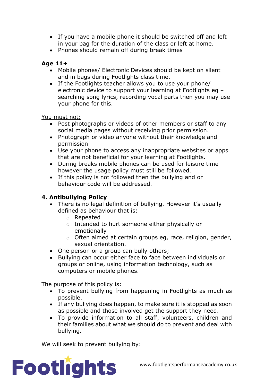- If you have a mobile phone it should be switched off and left in your bag for the duration of the class or left at home.
- Phones should remain off during break times

#### **Age 11+**

- Mobile phones/ Electronic Devices should be kept on silent and in bags during Footlights class time.
- If the Footlights teacher allows you to use your phone/ electronic device to support your learning at Footlights eg – searching song lyrics, recording vocal parts then you may use your phone for this.

You must not;

- Post photographs or videos of other members or staff to any social media pages without receiving prior permission.
- Photograph or video anyone without their knowledge and permission
- Use your phone to access any inappropriate websites or apps that are not beneficial for your learning at Footlights.
- During breaks mobile phones can be used for leisure time however the usage policy must still be followed.
- If this policy is not followed then the bullying and or behaviour code will be addressed.

# **4. Antibullying Policy**

- There is no legal definition of bullying. However it's usually defined as behaviour that is:
	- o Repeated
	- o Intended to hurt someone either physically or emotionally
	- o Often aimed at certain groups eg, race, religion, gender, sexual orientation.
- One person or a group can bully others;
- Bullying can occur either face to face between individuals or groups or online, using information technology, such as computers or mobile phones.

The purpose of this policy is:

- To prevent bullying from happening in Footlights as much as possible.
- If any bullying does happen, to make sure it is stopped as soon as possible and those involved get the support they need.
- To provide information to all staff, volunteers, children and their families about what we should do to prevent and deal with bullying.

We will seek to prevent bullying by:

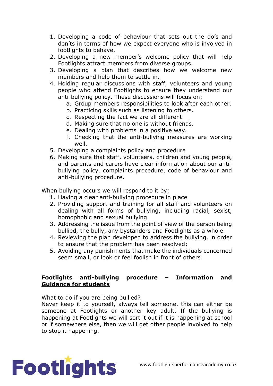- 1. Developing a code of behaviour that sets out the do's and don'ts in terms of how we expect everyone who is involved in footlights to behave.
- 2. Developing a new member's welcome policy that will help Footlights attract members from diverse groups.
- 3. Developing a plan that describes how we welcome new members and help them to settle in.
- 4. Holding regular discussions with staff, volunteers and young people who attend Footlights to ensure they understand our anti-bullying policy. These discussions will focus on;
	- a. Group members responsibilities to look after each other.
	- b. Practicing skills such as listening to others.
	- c. Respecting the fact we are all different.
	- d. Making sure that no one is without friends.
	- e. Dealing with problems in a positive way.
	- f. Checking that the anti-bullying measures are working well.
- 5. Developing a complaints policy and procedure
- 6. Making sure that staff, volunteers, children and young people, and parents and carers have clear information about our antibullying policy, complaints procedure, code of behaviour and anti-bullying procedure.

When bullying occurs we will respond to it by;

- 1. Having a clear anti-bullying procedure in place
- 2. Providing support and training for all staff and volunteers on dealing with all forms of bullying, including racial, sexist, homophobic and sexual bullying
- 3. Addressing the issue from the point of view of the person being bullied, the bully, any bystanders and Footlights as a whole.
- 4. Reviewing the plan developed to address the bullying, in order to ensure that the problem has been resolved;
- 5. Avoiding any punishments that make the individuals concerned seem small, or look or feel foolish in front of others.

#### **Footlights anti-bullying procedure – Information and Guidance for students**

What to do if you are being bullied?

Never keep it to yourself, always tell someone, this can either be someone at Footlights or another key adult. If the bullying is happening at Footlights we will sort it out if it is happening at school or if somewhere else, then we will get other people involved to help to stop it happening.